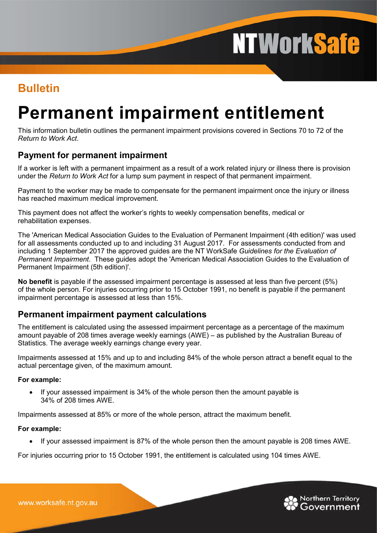# **NTWorkSafe**

### **Bulletin**

## **Permanent impairment entitlement**

This information bulletin outlines the permanent impairment provisions covered in Sections 70 to 72 of the *Return to Work Act*.

#### **Payment for permanent impairment**

If a worker is left with a permanent impairment as a result of a work related injury or illness there is provision under the *Return to Work Act* for a lump sum payment in respect of that permanent impairment.

Payment to the worker may be made to compensate for the permanent impairment once the injury or illness has reached maximum medical improvement.

This payment does not affect the worker's rights to weekly compensation benefits, medical or rehabilitation expenses.

The 'American Medical Association Guides to the Evaluation of Permanent Impairment (4th edition)' was used for all assessments conducted up to and including 31 August 2017. For assessments conducted from and including 1 September 2017 the approved guides are the NT WorkSafe *Guidelines for the Evaluation of Permanent Impairment*. These guides adopt the 'American Medical Association Guides to the Evaluation of Permanent Impairment (5th edition)'.

**No benefit** is payable if the assessed impairment percentage is assessed at less than five percent (5%) of the whole person. For injuries occurring prior to 15 October 1991, no benefit is payable if the permanent impairment percentage is assessed at less than 15%.

#### **Permanent impairment payment calculations**

The entitlement is calculated using the assessed impairment percentage as a percentage of the maximum amount payable of 208 times average weekly earnings (AWE) – as published by the Australian Bureau of Statistics. The average weekly earnings change every year.

Impairments assessed at 15% and up to and including 84% of the whole person attract a benefit equal to the actual percentage given, of the maximum amount.

#### **For example:**

• If your assessed impairment is 34% of the whole person then the amount payable is 34% of 208 times AWE.

Impairments assessed at 85% or more of the whole person, attract the maximum benefit.

#### **For example:**

If your assessed impairment is 87% of the whole person then the amount payable is 208 times AWE.

For injuries occurring prior to 15 October 1991, the entitlement is calculated using 104 times AWE.